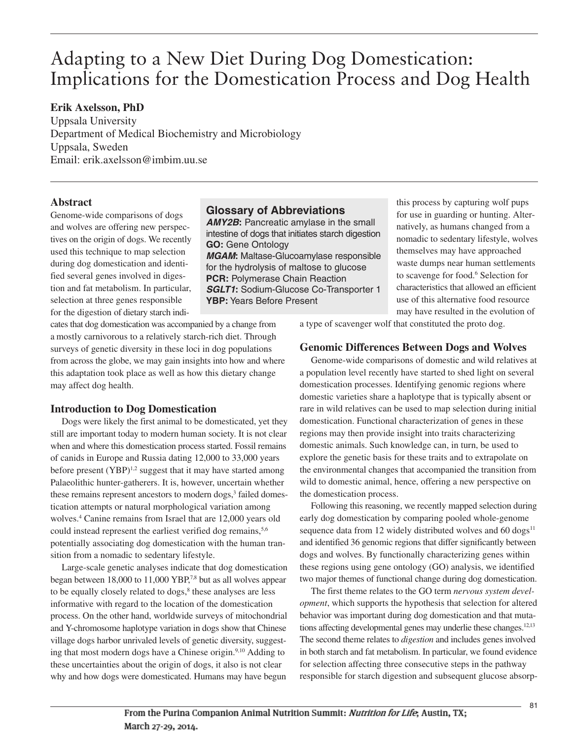# Adapting to a New Diet During Dog Domestication: Implications for the Domestication Process and Dog Health

# **Erik Axelsson, PhD**

Uppsala University Department of Medical Biochemistry and Microbiology Uppsala, Sweden Email: erik.axelsson@imbim.uu.se

## **Abstract**

Genome-wide comparisons of dogs and wolves are offering new perspectives on the origin of dogs. We recently used this technique to map selection during dog domestication and identified several genes involved in digestion and fat metabolism. In particular, selection at three genes responsible for the digestion of dietary starch indi-

cates that dog domestication was accompanied by a change from a mostly carnivorous to a relatively starch-rich diet. Through surveys of genetic diversity in these loci in dog populations from across the globe, we may gain insights into how and where this adaptation took place as well as how this dietary change may affect dog health.

# **Introduction to Dog Domestication**

Dogs were likely the first animal to be domesticated, yet they still are important today to modern human society. It is not clear when and where this domestication process started. Fossil remains of canids in Europe and Russia dating 12,000 to 33,000 years before present  $(YBP)^{1,2}$  suggest that it may have started among Palaeolithic hunter-gatherers. It is, however, uncertain whether these remains represent ancestors to modern dogs, <sup>3</sup> failed domestication attempts or natural morphological variation among wolves. <sup>4</sup> Canine remains from Israel that are 12,000 years old could instead represent the earliest verified dog remains,<sup>5,6</sup> potentially associating dog domestication with the human transition from a nomadic to sedentary lifestyle.

Large-scale genetic analyses indicate that dog domestication began between 18,000 to 11,000 YBP, 7,8 but as all wolves appear to be equally closely related to dogs, <sup>8</sup> these analyses are less informative with regard to the location of the domestication process. On the other hand, worldwide surveys of mitochondrial and Y-chromosome haplotype variation in dogs show that Chinese village dogs harbor unrivaled levels of genetic diversity, suggesting that most modern dogs have a Chinese origin.<sup>9,10</sup> Adding to these uncertainties about the origin of dogs, it also is not clear why and how dogs were domesticated. Humans may have begun

# **Glossary of Abbreviations**

*AMY2B***:** Pancreatic amylase in the small intestine of dogs that initiates starch digestion **GO:** Gene Ontology *MGAM***:** Maltase-Glucoamylase responsible for the hydrolysis of maltose to glucose **PCR:** Polymerase Chain Reaction *SGLT1***:** Sodium-Glucose Co-Transporter 1 **YBP:** Years Before Present

this process by capturing wolf pups for use in guarding or hunting. Alternatively, as humans changed from a nomadic to sedentary lifestyle, wolves themselves may have approached waste dumps near human settlements to scavenge for food. <sup>6</sup> Selection for characteristics that allowed an efficient use of this alternative food resource may have resulted in the evolution of

a type of scavenger wolf that constituted the proto dog.

# **Genomic Differences Between Dogs and Wolves**

Genome-wide comparisons of domestic and wild relatives at a population level recently have started to shed light on several domestication processes. Identifying genomic regions where domestic varieties share a haplotype that is typically absent or rare in wild relatives can be used to map selection during initial domestication. Functional characterization of genes in these regions may then provide insight into traits characterizing domestic animals. Such knowledge can, in turn, be used to explore the genetic basis for these traits and to extrapolate on the environmental changes that accompanied the transition from wild to domestic animal, hence, offering a new perspective on the domestication process.

Following this reasoning, we recently mapped selection during early dog domestication by comparing pooled whole-genome sequence data from 12 widely distributed wolves and  $60 \text{ dogs}^{11}$ and identified 36 genomic regions that differ significantly between dogs and wolves. By functionally characterizing genes within these regions using gene ontology (GO) analysis, we identified two major themes of functional change during dog domestication.

The first theme relates to the GO term *nervous system development*, which supports the hypothesis that selection for altered behavior was important during dog domestication and that mutations affecting developmental genes may underlie these changes.<sup>12,13</sup> The second theme relates to *digestion* and includes genes involved in both starch and fat metabolism. In particular, we found evidence for selection affecting three consecutive steps in the pathway responsible for starch digestion and subsequent glucose absorp-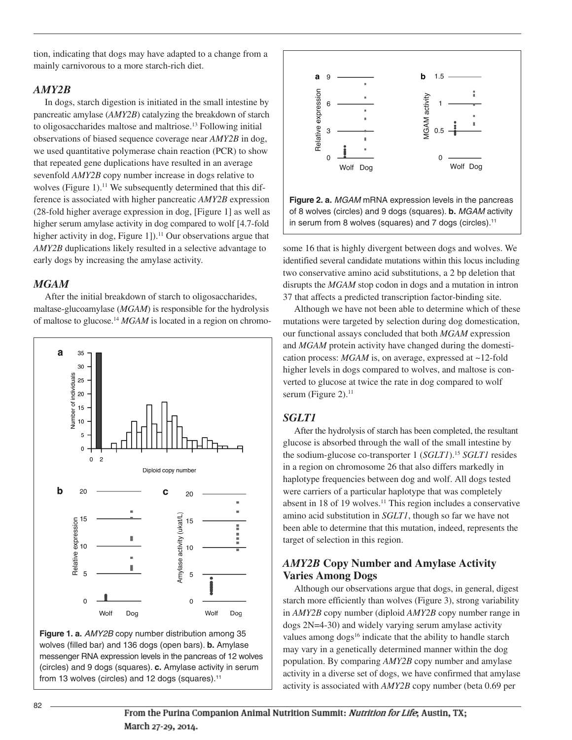tion, indicating that dogs may have adapted to a change from a mainly carnivorous to a more starch-rich diet.

#### *AMY2B*

In dogs, starch digestion is initiated in the small intestine by pancreatic amylase (*AMY2B*) catalyzing the breakdown of starch to oligosaccharides maltose and maltriose. <sup>13</sup> Following initial observations of biased sequence coverage near *AMY2B* in dog, we used quantitative polymerase chain reaction (PCR) to show that repeated gene duplications have resulted in an average sevenfold *AMY2B* copy number increase in dogs relative to wolves (Figure 1).<sup>11</sup> We subsequently determined that this difference is associated with higher pancreatic *AMY2B* expression (28-fold higher average expression in dog, [Figure 1] as well as higher serum amylase activity in dog compared to wolf [4.7-fold higher activity in dog, Figure 1]).<sup>11</sup> Our observations argue that *AMY2B* duplications likely resulted in a selective advantage to early dogs by increasing the amylase activity.

#### *MGAM*

After the initial breakdown of starch to oligosaccharides, maltase-glucoamylase (*MGAM*) is responsible for the hydrolysis of maltose to glucose. <sup>14</sup> *MGAM* is located in a region on chromo-







**Figure 2. a.** *MGAM* mRNA expression levels in the pancreas of 8 wolves (circles) and 9 dogs (squares). **b.** *MGAM* activity in serum from 8 wolves (squares) and 7 dogs (circles). 11

some 16 that is highly divergent between dogs and wolves. We identified several candidate mutations within this locus including two conservative amino acid substitutions, a 2 bp deletion that disrupts the *MGAM* stop codon in dogs and a mutation in intron 37 that affects a predicted transcription factor-binding site.

Although we have not been able to determine which of these mutations were targeted by selection during dog domestication, our functional assays concluded that both *MGAM* expression and *MGAM* protein activity have changed during the domestication process: *MGAM* is, on average, expressed at ~12-fold higher levels in dogs compared to wolves, and maltose is converted to glucose at twice the rate in dog compared to wolf serum (Figure 2).<sup>11</sup>

#### *SGLT1*

After the hydrolysis of starch has been completed, the resultant glucose is absorbed through the wall of the small intestine by the sodium-glucose co-transporter 1 (*SGLT1*). <sup>15</sup> *SGLT1* resides in a region on chromosome 26 that also differs markedly in haplotype frequencies between dog and wolf. All dogs tested were carriers of a particular haplotype that was completely absent in 18 of 19 wolves. <sup>11</sup> This region includes a conservative amino acid substitution in *SGLT1*, though so far we have not been able to determine that this mutation, indeed, represents the target of selection in this region.

## *AMY2B* **Copy Number and Amylase Activity Varies Among Dogs**

Although our observations argue that dogs, in general, digest starch more efficiently than wolves (Figure 3), strong variability in *AMY2B* copy number (diploid *AMY2B* copy number range in dogs 2N=4-30) and widely varying serum amylase activity values among dogs<sup>16</sup> indicate that the ability to handle starch may vary in a genetically determined manner within the dog population. By comparing *AMY2B* copy number and amylase activity in a diverse set of dogs, we have confirmed that amylase activity is associated with *AMY2B* copy number (beta 0.69 per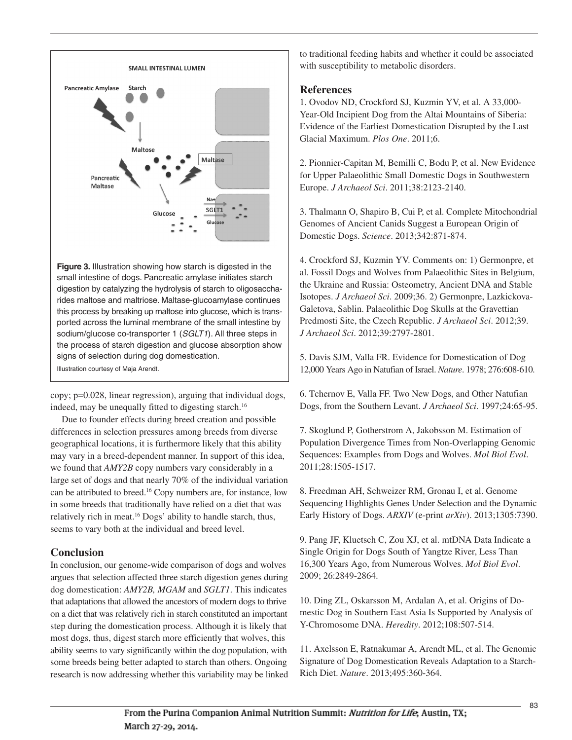

**Figure 3.** Illustration showing how starch is digested in the small intestine of dogs. Pancreatic amylase initiates starch digestion by catalyzing the hydrolysis of starch to oligosaccharides maltose and maltriose. Maltase-glucoamylase continues this process by breaking up maltose into glucose, which is transported across the luminal membrane of the small intestine by sodium/glucose co-transporter 1 (*SGLT1*). All three steps in the process of starch digestion and glucose absorption show signs of selection during dog domestication.

Illustration courtesy of Maja Arendt.

copy; p=0.028, linear regression), arguing that individual dogs, indeed, may be unequally fitted to digesting starch. 16

Due to founder effects during breed creation and possible differences in selection pressures among breeds from diverse geographical locations, it is furthermore likely that this ability may vary in a breed-dependent manner. In support of this idea, we found that *AMY2B* copy numbers vary considerably in a large set of dogs and that nearly 70% of the individual variation can be attributed to breed. <sup>16</sup> Copy numbers are, for instance, low in some breeds that traditionally have relied on a diet that was relatively rich in meat. <sup>16</sup> Dogs' ability to handle starch, thus, seems to vary both at the individual and breed level.

# **Conclusion**

In conclusion, our genome-wide comparison of dogs and wolves argues that selection affected three starch digestion genes during dog domestication: *AMY2B, MGAM* and *SGLT1*. This indicates that adaptations that allowed the ancestors of modern dogs to thrive on a diet that was relatively rich in starch constituted an important step during the domestication process. Although it is likely that most dogs, thus, digest starch more efficiently that wolves, this ability seems to vary significantly within the dog population, with some breeds being better adapted to starch than others. Ongoing research is now addressing whether this variability may be linked to traditional feeding habits and whether it could be associated with susceptibility to metabolic disorders.

# **References**

1. Ovodov ND, Crockford SJ, Kuzmin YV, et al. A 33,000- Year-Old Incipient Dog from the Altai Mountains of Siberia: Evidence of the Earliest Domestication Disrupted by the Last Glacial Maximum. *Plos One*. 2011;6.

2. Pionnier-Capitan M, Bemilli C, Bodu P, et al. New Evidence for Upper Palaeolithic Small Domestic Dogs in Southwestern Europe. *J Archaeol Sci*. 2011;38:2123-2140.

3. Thalmann O, Shapiro B, Cui P, et al. Complete Mitochondrial Genomes of Ancient Canids Suggest a European Origin of Domestic Dogs. *Science*. 2013;342:871-874.

4. Crockford SJ, Kuzmin YV. Comments on: 1) Germonpre, et al. Fossil Dogs and Wolves from Palaeolithic Sites in Belgium, the Ukraine and Russia: Osteometry, Ancient DNA and Stable Isotopes. *J Archaeol Sci*. 2009;36. 2) Germonpre, Lazkickova-Galetova, Sablin. Palaeolithic Dog Skulls at the Gravettian Predmosti Site, the Czech Republic. *J Archaeol Sci*. 2012;39. *J Archaeol Sci*. 2012;39:2797-2801.

5. Davis SJM, Valla FR. Evidence for Domestication of Dog 12,000 Years Ago in Natufian of Israel. *Nature*. 1978; 276:608-610.

6. Tchernov E, Valla FF. Two New Dogs, and Other Natufian Dogs, from the Southern Levant. *J Archaeol Sci*. 1997;24:65-95.

7. Skoglund P, Gotherstrom A, Jakobsson M. Estimation of Population Divergence Times from Non-Overlapping Genomic Sequences: Examples from Dogs and Wolves. *Mol Biol Evol*. 2011;28:1505-1517.

8. Freedman AH, Schweizer RM, Gronau I, et al. Genome Sequencing Highlights Genes Under Selection and the Dynamic Early History of Dogs. *ARXIV* (e-print *arXiv*). 2013;1305:7390.

9. Pang JF, Kluetsch C, Zou XJ, et al. mtDNA Data Indicate a Single Origin for Dogs South of Yangtze River, Less Than 16,300 Years Ago, from Numerous Wolves. *Mol Biol Evol*. 2009; 26:2849-2864.

10. Ding ZL, Oskarsson M, Ardalan A, et al. Origins of Domestic Dog in Southern East Asia Is Supported by Analysis of Y-Chromosome DNA. *Heredity*. 2012;108:507-514.

11. Axelsson E, Ratnakumar A, Arendt ML, et al. The Genomic Signature of Dog Domestication Reveals Adaptation to a Starch-Rich Diet. *Nature*. 2013;495:360-364.